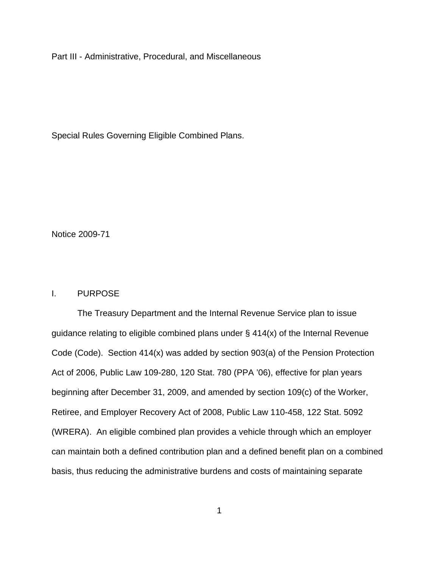Part III - Administrative, Procedural, and Miscellaneous

Special Rules Governing Eligible Combined Plans.

Notice 2009-71

# I. PURPOSE

The Treasury Department and the Internal Revenue Service plan to issue guidance relating to eligible combined plans under § 414(x) of the Internal Revenue Code (Code). Section 414(x) was added by section 903(a) of the Pension Protection Act of 2006, Public Law 109-280, 120 Stat. 780 (PPA '06), effective for plan years beginning after December 31, 2009, and amended by section 109(c) of the Worker, Retiree, and Employer Recovery Act of 2008, Public Law 110-458, 122 Stat. 5092 (WRERA). An eligible combined plan provides a vehicle through which an employer can maintain both a defined contribution plan and a defined benefit plan on a combined basis, thus reducing the administrative burdens and costs of maintaining separate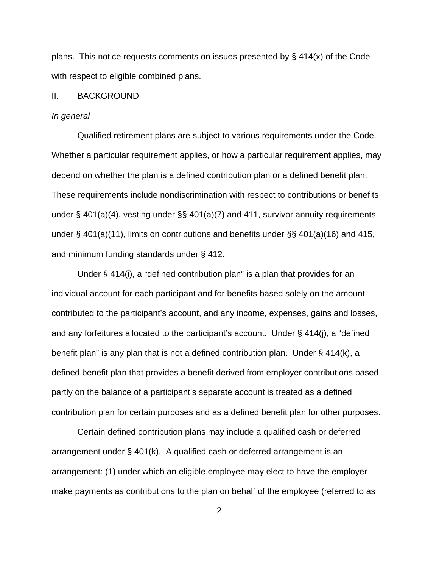plans. This notice requests comments on issues presented by  $\S$  414(x) of the Code with respect to eligible combined plans.

#### II. BACKGROUND

#### *In general*

 Qualified retirement plans are subject to various requirements under the Code. Whether a particular requirement applies, or how a particular requirement applies, may depend on whether the plan is a defined contribution plan or a defined benefit plan. These requirements include nondiscrimination with respect to contributions or benefits under § 401(a)(4), vesting under §§ 401(a)(7) and 411, survivor annuity requirements under § 401(a)(11), limits on contributions and benefits under §§ 401(a)(16) and 415, and minimum funding standards under § 412.

Under § 414(i), a "defined contribution plan" is a plan that provides for an individual account for each participant and for benefits based solely on the amount contributed to the participant's account, and any income, expenses, gains and losses, and any forfeitures allocated to the participant's account. Under § 414(j), a "defined benefit plan" is any plan that is not a defined contribution plan. Under § 414(k), a defined benefit plan that provides a benefit derived from employer contributions based partly on the balance of a participant's separate account is treated as a defined contribution plan for certain purposes and as a defined benefit plan for other purposes.

Certain defined contribution plans may include a qualified cash or deferred arrangement under § 401(k). A qualified cash or deferred arrangement is an arrangement: (1) under which an eligible employee may elect to have the employer make payments as contributions to the plan on behalf of the employee (referred to as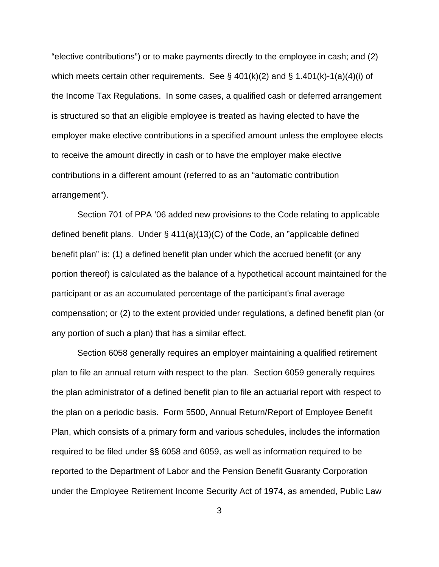"elective contributions") or to make payments directly to the employee in cash; and (2) which meets certain other requirements. See  $\S$  401(k)(2) and  $\S$  1.401(k)-1(a)(4)(i) of the Income Tax Regulations. In some cases, a qualified cash or deferred arrangement is structured so that an eligible employee is treated as having elected to have the employer make elective contributions in a specified amount unless the employee elects to receive the amount directly in cash or to have the employer make elective contributions in a different amount (referred to as an "automatic contribution arrangement").

 Section 701 of PPA '06 added new provisions to the Code relating to applicable defined benefit plans. Under § 411(a)(13)(C) of the Code, an "applicable defined benefit plan" is: (1) a defined benefit plan under which the accrued benefit (or any portion thereof) is calculated as the balance of a hypothetical account maintained for the participant or as an accumulated percentage of the participant's final average compensation; or (2) to the extent provided under regulations, a defined benefit plan (or any portion of such a plan) that has a similar effect.

 Section 6058 generally requires an employer maintaining a qualified retirement plan to file an annual return with respect to the plan. Section 6059 generally requires the plan administrator of a defined benefit plan to file an actuarial report with respect to the plan on a periodic basis. Form 5500, Annual Return/Report of Employee Benefit Plan, which consists of a primary form and various schedules, includes the information required to be filed under §§ 6058 and 6059, as well as information required to be reported to the Department of Labor and the Pension Benefit Guaranty Corporation under the Employee Retirement Income Security Act of 1974, as amended, Public Law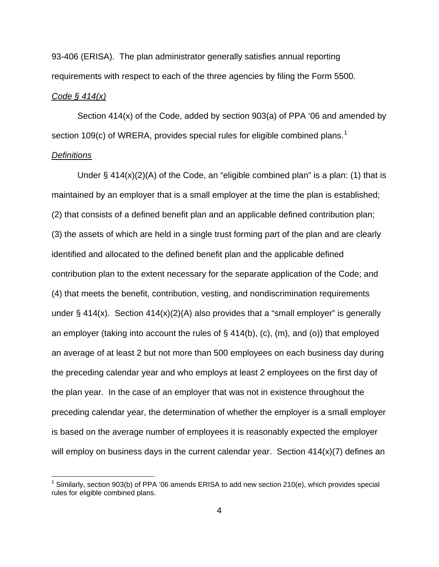93-406 (ERISA). The plan administrator generally satisfies annual reporting requirements with respect to each of the three agencies by filing the Form 5500.

### *Code § 414(x)*

Section 414(x) of the Code, added by section 903(a) of PPA '06 and amended by section [1](#page-3-0)09(c) of WRERA, provides special rules for eligible combined plans.<sup>1</sup>

### *Definitions*

1

Under  $\S$  414(x)(2)(A) of the Code, an "eligible combined plan" is a plan: (1) that is maintained by an employer that is a small employer at the time the plan is established; (2) that consists of a defined benefit plan and an applicable defined contribution plan; (3) the assets of which are held in a single trust forming part of the plan and are clearly identified and allocated to the defined benefit plan and the applicable defined contribution plan to the extent necessary for the separate application of the Code; and (4) that meets the benefit, contribution, vesting, and nondiscrimination requirements under  $\S 414(x)$ . Section  $414(x)(2)(A)$  also provides that a "small employer" is generally an employer (taking into account the rules of  $\S$  414(b), (c), (m), and (o)) that employed an average of at least 2 but not more than 500 employees on each business day during the preceding calendar year and who employs at least 2 employees on the first day of the plan year. In the case of an employer that was not in existence throughout the preceding calendar year, the determination of whether the employer is a small employer is based on the average number of employees it is reasonably expected the employer will employ on business days in the current calendar year. Section 414(x)(7) defines an

<span id="page-3-0"></span><sup>&</sup>lt;sup>1</sup> Similarly, section 903(b) of PPA '06 amends ERISA to add new section 210(e), which provides special rules for eligible combined plans.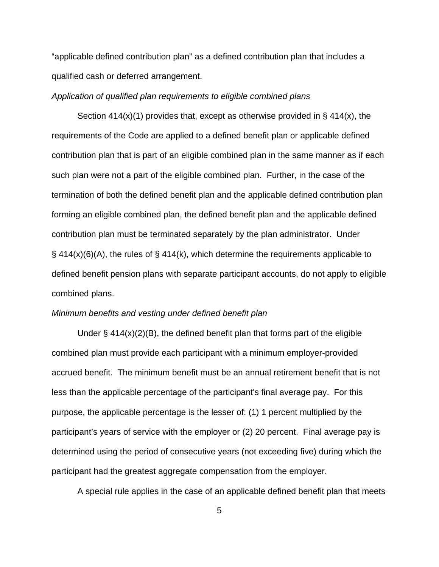"applicable defined contribution plan" as a defined contribution plan that includes a qualified cash or deferred arrangement.

#### *Application of qualified plan requirements to eligible combined plans*

Section  $414(x)(1)$  provides that, except as otherwise provided in §  $414(x)$ , the requirements of the Code are applied to a defined benefit plan or applicable defined contribution plan that is part of an eligible combined plan in the same manner as if each such plan were not a part of the eligible combined plan. Further, in the case of the termination of both the defined benefit plan and the applicable defined contribution plan forming an eligible combined plan, the defined benefit plan and the applicable defined contribution plan must be terminated separately by the plan administrator. Under  $\S$  414(x)(6)(A), the rules of  $\S$  414(k), which determine the requirements applicable to defined benefit pension plans with separate participant accounts, do not apply to eligible combined plans.

### *Minimum benefits and vesting under defined benefit plan*

Under  $\S$  414(x)(2)(B), the defined benefit plan that forms part of the eligible combined plan must provide each participant with a minimum employer-provided accrued benefit. The minimum benefit must be an annual retirement benefit that is not less than the applicable percentage of the participant's final average pay. For this purpose, the applicable percentage is the lesser of: (1) 1 percent multiplied by the participant's years of service with the employer or (2) 20 percent. Final average pay is determined using the period of consecutive years (not exceeding five) during which the participant had the greatest aggregate compensation from the employer.

A special rule applies in the case of an applicable defined benefit plan that meets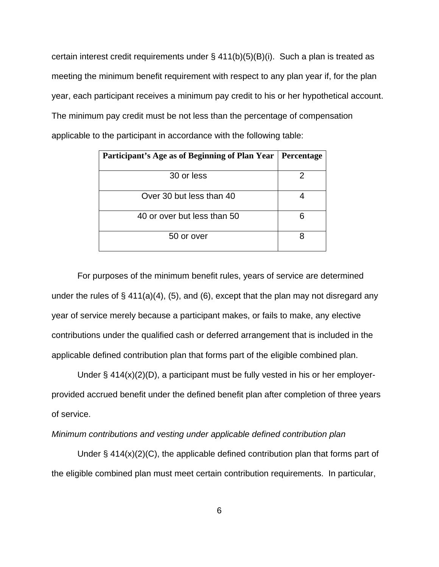certain interest credit requirements under  $\S$  411(b)(5)(B)(i). Such a plan is treated as meeting the minimum benefit requirement with respect to any plan year if, for the plan year, each participant receives a minimum pay credit to his or her hypothetical account. The minimum pay credit must be not less than the percentage of compensation applicable to the participant in accordance with the following table:

| Participant's Age as of Beginning of Plan Year   Percentage |  |
|-------------------------------------------------------------|--|
| 30 or less                                                  |  |
| Over 30 but less than 40                                    |  |
| 40 or over but less than 50                                 |  |
| 50 or over                                                  |  |

 For purposes of the minimum benefit rules, years of service are determined under the rules of  $\S$  411(a)(4), (5), and (6), except that the plan may not disregard any year of service merely because a participant makes, or fails to make, any elective contributions under the qualified cash or deferred arrangement that is included in the applicable defined contribution plan that forms part of the eligible combined plan.

 Under § 414(x)(2)(D), a participant must be fully vested in his or her employerprovided accrued benefit under the defined benefit plan after completion of three years of service.

*Minimum contributions and vesting under applicable defined contribution plan*

Under  $\S$  414(x)(2)(C), the applicable defined contribution plan that forms part of the eligible combined plan must meet certain contribution requirements. In particular,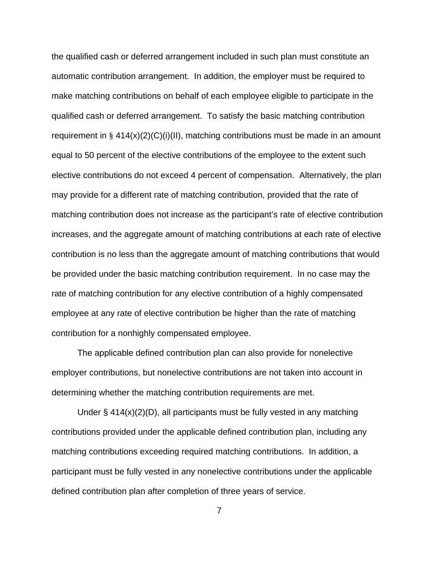the qualified cash or deferred arrangement included in such plan must constitute an automatic contribution arrangement. In addition, the employer must be required to make matching contributions on behalf of each employee eligible to participate in the qualified cash or deferred arrangement. To satisfy the basic matching contribution requirement in  $\S 414(x)(2)(C)(i)(II)$ , matching contributions must be made in an amount equal to 50 percent of the elective contributions of the employee to the extent such elective contributions do not exceed 4 percent of compensation. Alternatively, the plan may provide for a different rate of matching contribution, provided that the rate of matching contribution does not increase as the participant's rate of elective contribution increases, and the aggregate amount of matching contributions at each rate of elective contribution is no less than the aggregate amount of matching contributions that would be provided under the basic matching contribution requirement. In no case may the rate of matching contribution for any elective contribution of a highly compensated employee at any rate of elective contribution be higher than the rate of matching contribution for a nonhighly compensated employee.

 The applicable defined contribution plan can also provide for nonelective employer contributions, but nonelective contributions are not taken into account in determining whether the matching contribution requirements are met.

Under  $\S$  414(x)(2)(D), all participants must be fully vested in any matching contributions provided under the applicable defined contribution plan, including any matching contributions exceeding required matching contributions. In addition, a participant must be fully vested in any nonelective contributions under the applicable defined contribution plan after completion of three years of service.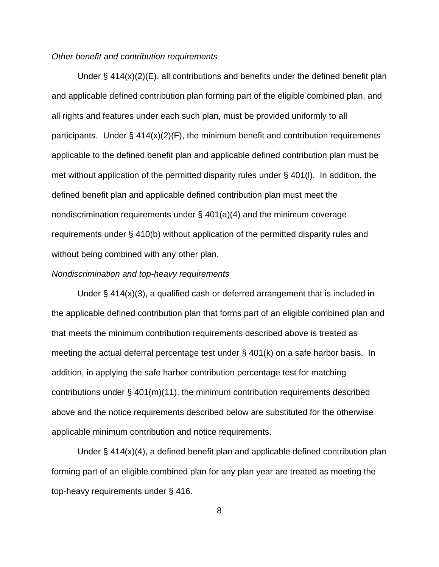### *Other benefit and contribution requirements*

Under  $\S$  414(x)(2)(E), all contributions and benefits under the defined benefit plan and applicable defined contribution plan forming part of the eligible combined plan, and all rights and features under each such plan, must be provided uniformly to all participants. Under  $\S$  414(x)(2)(F), the minimum benefit and contribution requirements applicable to the defined benefit plan and applicable defined contribution plan must be met without application of the permitted disparity rules under § 401(l). In addition, the defined benefit plan and applicable defined contribution plan must meet the nondiscrimination requirements under § 401(a)(4) and the minimum coverage requirements under § 410(b) without application of the permitted disparity rules and without being combined with any other plan.

#### *Nondiscrimination and top-heavy requirements*

 Under § 414(x)(3), a qualified cash or deferred arrangement that is included in the applicable defined contribution plan that forms part of an eligible combined plan and that meets the minimum contribution requirements described above is treated as meeting the actual deferral percentage test under § 401(k) on a safe harbor basis. In addition, in applying the safe harbor contribution percentage test for matching contributions under § 401(m)(11), the minimum contribution requirements described above and the notice requirements described below are substituted for the otherwise applicable minimum contribution and notice requirements.

 Under § 414(x)(4), a defined benefit plan and applicable defined contribution plan forming part of an eligible combined plan for any plan year are treated as meeting the top-heavy requirements under § 416.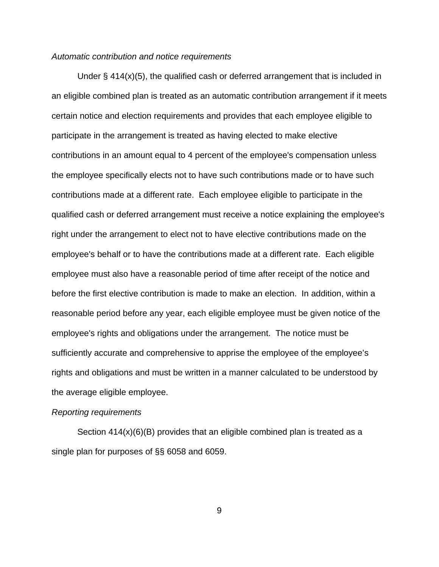### *Automatic contribution and notice requirements*

Under  $\S$  414(x)(5), the qualified cash or deferred arrangement that is included in an eligible combined plan is treated as an automatic contribution arrangement if it meets certain notice and election requirements and provides that each employee eligible to participate in the arrangement is treated as having elected to make elective contributions in an amount equal to 4 percent of the employee's compensation unless the employee specifically elects not to have such contributions made or to have such contributions made at a different rate. Each employee eligible to participate in the qualified cash or deferred arrangement must receive a notice explaining the employee's right under the arrangement to elect not to have elective contributions made on the employee's behalf or to have the contributions made at a different rate. Each eligible employee must also have a reasonable period of time after receipt of the notice and before the first elective contribution is made to make an election. In addition, within a reasonable period before any year, each eligible employee must be given notice of the employee's rights and obligations under the arrangement. The notice must be sufficiently accurate and comprehensive to apprise the employee of the employee's rights and obligations and must be written in a manner calculated to be understood by the average eligible employee.

#### *Reporting requirements*

Section 414(x)(6)(B) provides that an eligible combined plan is treated as a single plan for purposes of §§ 6058 and 6059.